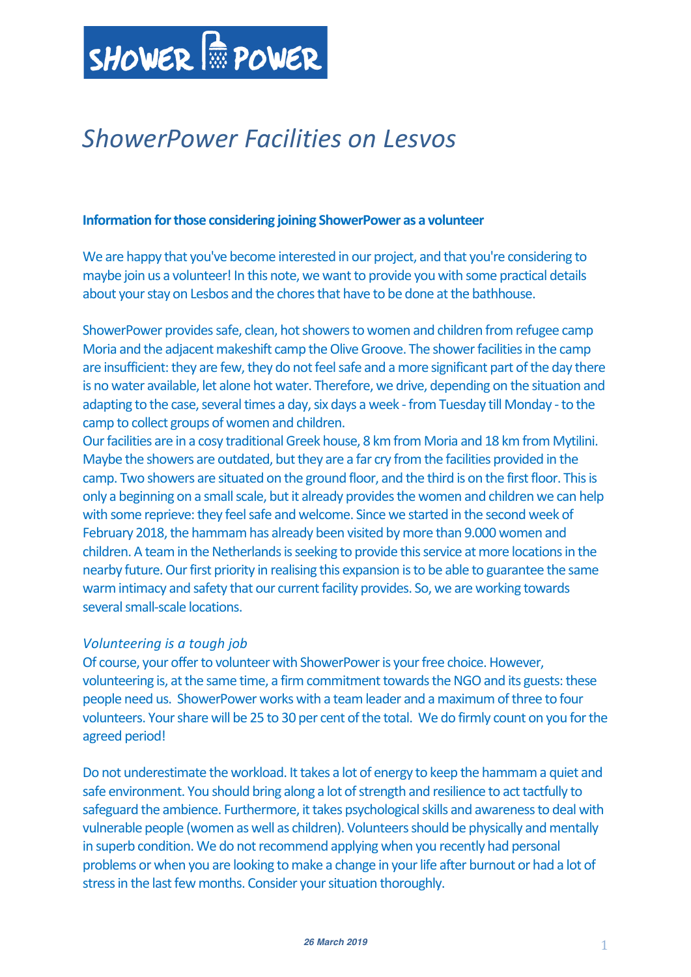

# *ShowerPower Facilities on Lesvos*

#### **Information for those considering joining ShowerPower as a volunteer**

We are happy that you've become interested in our project, and that you're considering to maybe join us a volunteer! In this note, we want to provide you with some practical details about your stay on Lesbos and the chores that have to be done at the bathhouse.

ShowerPower provides safe, clean, hot showers to women and children from refugee camp Moria and the adjacent makeshift camp the Olive Groove. The shower facilities in the camp are insufficient: they are few, they do not feel safe and a more significant part of the day there is no water available, let alone hot water. Therefore, we drive, depending on the situation and adapting to the case, several times a day, six days a week - from Tuesday till Monday - to the camp to collect groups of women and children.

Our facilities are in a cosy traditional Greek house, 8 km from Moria and 18 km from Mytilini. Maybe the showers are outdated, but they are a far cry from the facilities provided in the camp. Two showers are situated on the ground floor, and the third is on the first floor. This is only a beginning on a small scale, but it already provides the women and children we can help with some reprieve: they feel safe and welcome. Since we started in the second week of February 2018, the hammam has already been visited by more than 9.000 women and children. A team in the Netherlands is seeking to provide this service at more locations in the nearby future. Our first priority in realising this expansion is to be able to guarantee the same warm intimacy and safety that our current facility provides. So, we are working towards several small-scale locations.

# *Volunteering is a tough job*

Of course, your offer to volunteer with ShowerPower is your free choice. However, volunteering is, at the same time, a firm commitment towards the NGO and its guests: these people need us. ShowerPower works with a team leader and a maximum of three to four volunteers. Your share will be 25 to 30 per cent of the total. We do firmly count on you for the agreed period!

Do not underestimate the workload. It takes a lot of energy to keep the hammam a quiet and safe environment. You should bring along a lot of strength and resilience to act tactfully to safeguard the ambience. Furthermore, it takes psychological skills and awarenessto deal with vulnerable people (women as well as children). Volunteers should be physically and mentally in superb condition. We do not recommend applying when you recently had personal problems or when you are looking to make a change in your life after burnout or had a lot of stress in the last few months. Consider your situation thoroughly.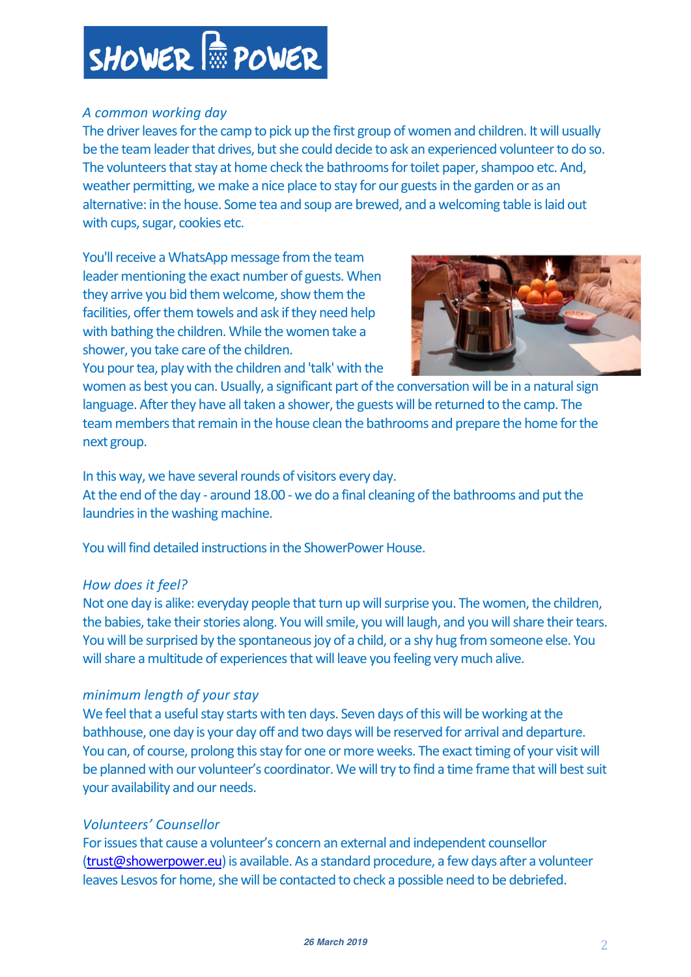# SHOWER  $\frac{1}{100}$  POWER

# *A common working day*

The driver leaves for the camp to pick up the first group of women and children. It will usually be the team leader that drives, but she could decide to ask an experienced volunteer to do so. The volunteers that stay at home check the bathrooms for toilet paper, shampoo etc. And, weather permitting, we make a nice place to stay for our guests in the garden or as an alternative: in the house. Some tea and soup are brewed, and a welcoming table is laid out with cups, sugar, cookies etc.

You'll receive a WhatsApp message from the team leader mentioning the exact number of guests. When they arrive you bid them welcome, show them the facilities, offer them towels and ask if they need help with bathing the children. While the women take a shower, you take care of the children. You pour tea, play with the children and 'talk' with the



women as best you can. Usually, a significant part of the conversation will be in a natural sign language. After they have all taken a shower, the guests will be returned to the camp. The team members that remain in the house clean the bathrooms and prepare the home for the next group.

In this way, we have several rounds of visitors every day. At the end of the day - around 18.00 - we do a final cleaning of the bathrooms and put the laundries in the washing machine.

You will find detailed instructions in the ShowerPower House.

# *How does it feel?*

Not one day is alike: everyday people that turn up will surprise you. The women, the children, the babies, take their stories along. You will smile, you will laugh, and you will share their tears. You will be surprised by the spontaneous joy of a child, or a shy hug from someone else. You will share a multitude of experiences that will leave you feeling very much alive.

# *minimum length of your stay*

We feel that a useful stay starts with ten days. Seven days of this will be working at the bathhouse, one day is your day off and two days will be reserved for arrival and departure. You can, of course, prolong this stay for one or more weeks. The exact timing of your visit will be planned with our volunteer's coordinator. We will try to find a time frame that will best suit your availability and our needs.

# *Volunteers' Counsellor*

For issues that cause a volunteer's concern an external and independent counsellor (trust@showerpower.eu) is available. As a standard procedure, a few days after a volunteer leaves Lesvos for home, she will be contacted to check a possible need to be debriefed.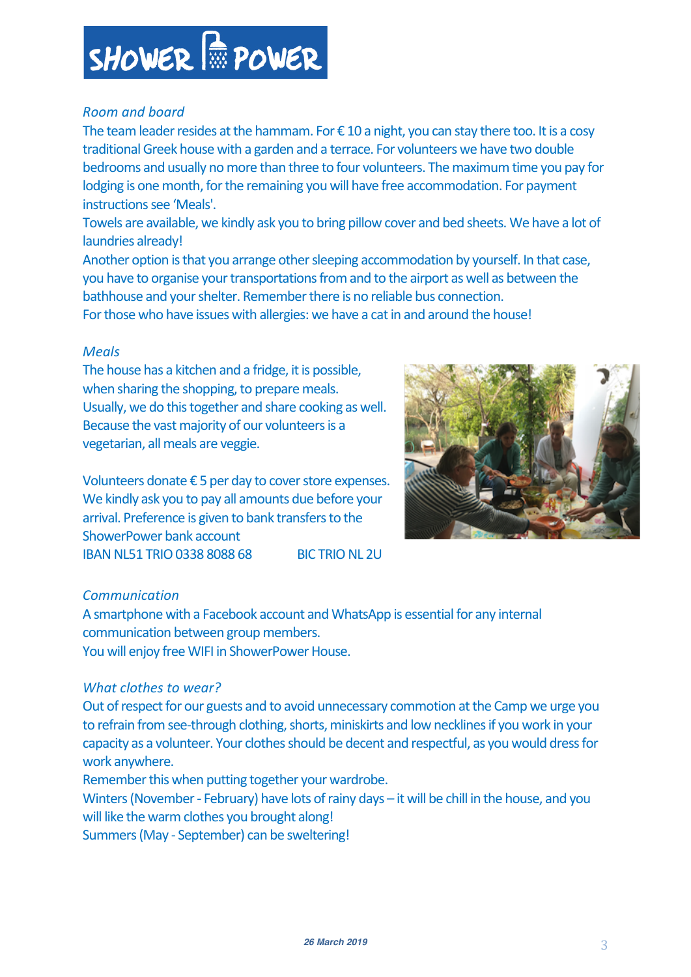#### **26 March <sup>2019</sup>**3

# SHOWER  $\frac{1}{100}$  POWER

# *Room and board*

The team leader resides at the hammam. For  $\epsilon$  10 a night, you can stay there too. It is a cosy traditional Greek house with a garden and a terrace. For volunteers we have two double bedrooms and usually no more than three to four volunteers. The maximum time you pay for lodging is one month, for the remaining you will have free accommodation. For payment instructions see 'Meals'.

Towels are available, we kindly ask you to bring pillow cover and bed sheets. We have a lot of laundries already!

Another option is that you arrange other sleeping accommodation by yourself. In that case, you have to organise your transportations from and to the airport as well as between the bathhouse and your shelter. Remember there is no reliable bus connection.

For those who have issues with allergies: we have a cat in and around the house!

# *Meals*

The house has a kitchen and a fridge, it is possible, when sharing the shopping, to prepare meals. Usually, we do this together and share cooking as well. Because the vast majority of our volunteers is a vegetarian, all meals are veggie.

Volunteers donate € 5 per day to cover store expenses. We kindly ask you to pay all amounts due before your arrival. Preference is given to bank transfers to the ShowerPower bank account IBAN NL51 TRIO 0338 8088 68 BIC TRIO NL 2U

# *Communication*

A smartphone with a Facebook account and WhatsApp is essential for any internal communication between group members. You will enjoy free WIFI in ShowerPower House.

# *What clothes to wear?*

Out of respect for our guests and to avoid unnecessary commotion at the Camp we urge you to refrain from see-through clothing, shorts, miniskirts and low necklines if you work in your capacity as a volunteer. Your clothes should be decent and respectful, as you would dress for work anywhere.

Remember this when putting together your wardrobe.

Winters (November - February) have lots of rainy days – it will be chill in the house, and you will like the warm clothes you brought along!

Summers (May - September) can be sweltering!

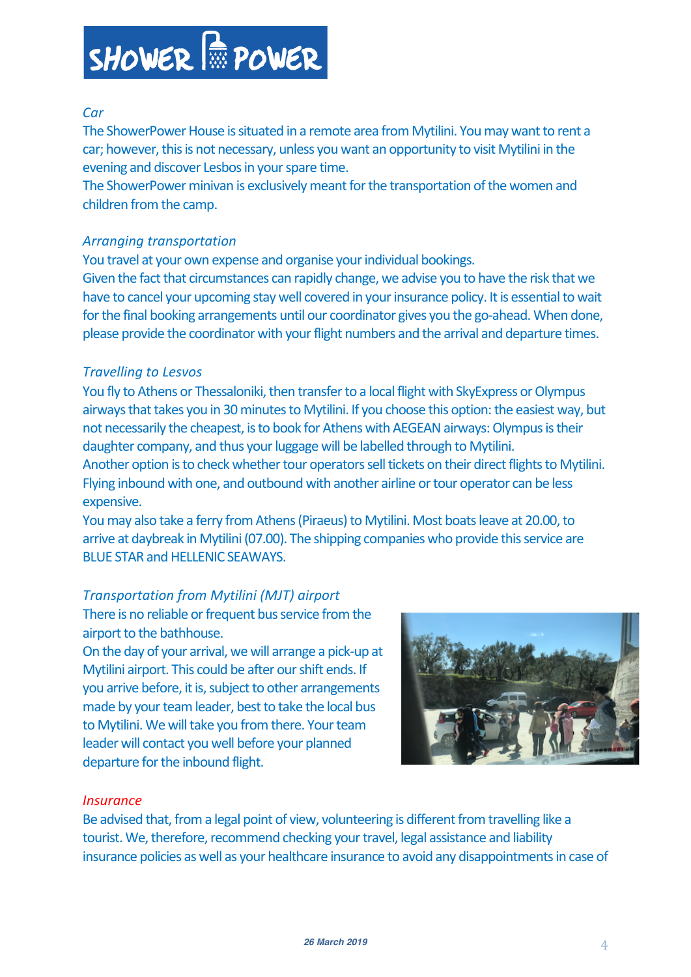

# *Car*

The ShowerPower House is situated in a remote area from Mytilini. You may want to rent a car; however, this is not necessary, unless you want an opportunity to visit Mytilini in the evening and discover Lesbos in your spare time.

The ShowerPower minivan is exclusively meant for the transportation of the women and children from the camp.

#### *Arranging transportation*

You travel at your own expense and organise your individual bookings. Given the fact that circumstances can rapidly change, we advise you to have the risk that we have to cancel your upcoming stay well covered in your insurance policy. It is essential to wait for the final booking arrangements until our coordinator gives you the go-ahead. When done, please provide the coordinator with your flight numbers and the arrival and departure times.

#### *Travelling to Lesvos*

You fly to Athens or Thessaloniki, then transfer to a local flight with SkyExpress or Olympus airways that takes you in 30 minutes to Mytilini. If you choose this option: the easiest way, but not necessarily the cheapest, isto book for Athens with AEGEAN airways: Olympus is their daughter company, and thus your luggage will be labelled through to Mytilini.

Another option is to check whether tour operators sell tickets on their direct flights to Mytilini. Flying inbound with one, and outbound with another airline or tour operator can be less expensive.

You may also take a ferry from Athens (Piraeus) to Mytilini. Most boats leave at 20.00, to arrive at daybreak in Mytilini (07.00). The shipping companies who provide this service are BLUE STAR and HELLENIC SEAWAYS.

# *Transportation from Mytilini (MJT) airport*

There is no reliable or frequent bus service from the airport to the bathhouse.

On the day of your arrival, we will arrange a pick-up at Mytilini airport. This could be after our shift ends. If you arrive before, it is, subject to other arrangements made by your team leader, best to take the local bus to Mytilini. We will take you from there. Your team leader will contact you well before your planned departure for the inbound flight.



#### *Insurance*

Be advised that, from a legal point of view, volunteering is different from travelling like a tourist. We, therefore, recommend checking your travel, legal assistance and liability insurance policies as well as your healthcare insurance to avoid any disappointments in case of